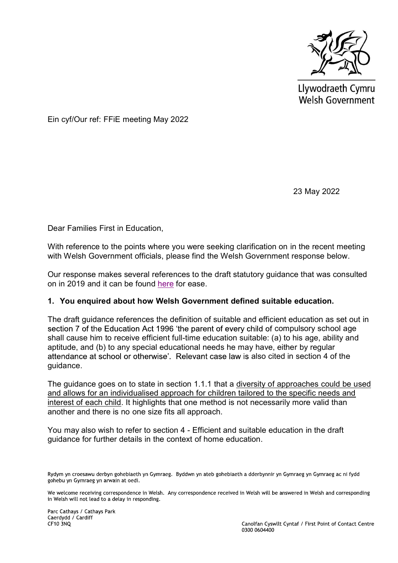

Llywodraeth Cymru Welsh Government

Ein cyf/Our ref: FFiE meeting May 2022

23 May 2022

Dear Families First in Education,

With reference to the points where you were seeking clarification on in the recent meeting with Welsh Government officials, please find the Welsh Government response below.

Our response makes several references to the draft statutory guidance that was consulted on in 2019 and it can be found here for ease.

#### **1. You enquired about how Welsh Government defined suitable education.**

The draft guidance references the definition of suitable and efficient education as set out in section 7 of the Education Act 1996 'the parent of every child of compulsory school age shall cause him to receive efficient full-time education suitable: (a) to his age, ability and aptitude, and (b) to any special educational needs he may have, either by regular attendance at school or otherwise'. Relevant case law is also cited in section 4 of the guidance.

The guidance goes on to state in section 1.1.1 that a diversity of approaches could be used and allows for an individualised approach for children tailored to the specific needs and interest of each child. It highlights that one method is not necessarily more valid than another and there is no one size fits all approach.

You may also wish to refer to section 4 - Efficient and suitable education in the draft guidance for further details in the context of home education.

Rydym yn croesawu derbyn gohebiaeth yn Gymraeg. Byddwn yn ateb gohebiaeth a dderbynnir yn Gymraeg yn Gymraeg ac ni fydd gohebu yn Gymraeg yn arwain at oedi.

We welcome receiving correspondence in Welsh. Any correspondence received in Welsh will be answered in Welsh and corresponding in Welsh will not lead to a delay in responding.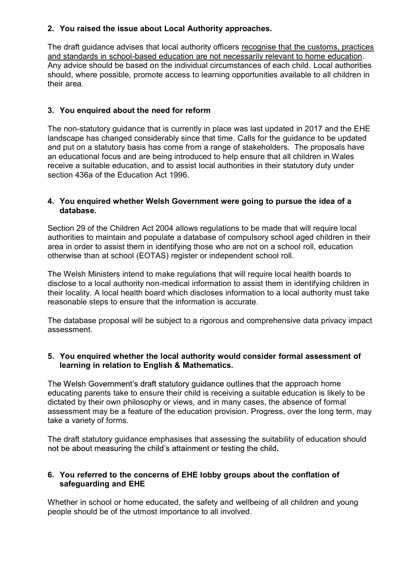## **2. You raised the issue about Local Authority approaches.**

The draft guidance advises that local authority officers recognise that the customs, practices and standards in school-based education are not necessarily relevant to home education. Any advice should be based on the individual circumstances of each child. Local authorities should, where possible, promote access to learning opportunities available to all children in their area.

# **3. You enquired about the need for reform**

The non-statutory guidance that is currently in place was last updated in 2017 and the EHE landscape has changed considerably since that time. Calls for the guidance to be updated and put on a statutory basis has come from a range of stakeholders. The proposals have an educational focus and are being introduced to help ensure that all children in Wales receive a suitable education, and to assist local authorities in their statutory duty under section 436a of the Education Act 1996.

## **4. You enquired whether Welsh Government were going to pursue the idea of a database.**

Section 29 of the Children Act 2004 allows regulations to be made that will require local authorities to maintain and populate a database of compulsory school aged children in their area in order to assist them in identifying those who are not on a school roll, education otherwise than at school (EOTAS) register or independent school roll.

The Welsh Ministers intend to make regulations that will require local health boards to disclose to a local authority non-medical information to assist them in identifying children in their locality. A local health board which discloses information to a local authority must take reasonable steps to ensure that the information is accurate.

The database proposal will be subject to a rigorous and comprehensive data privacy impact assessment.

## **5. You enquired whether the local authority would consider formal assessment of learning in relation to English & Mathematics.**

The Welsh Government's draft statutory guidance outlines that the approach home educating parents take to ensure their child is receiving a suitable education is likely to be dictated by their own philosophy or views, and in many cases, the absence of formal assessment may be a feature of the education provision. Progress, over the long term, may take a variety of forms.

The draft statutory guidance emphasises that assessing the suitability of education should not be about measuring the child's attainment or testing the child.

## **6. You referred to the concerns of EHE lobby groups about the conflation of safeguarding and EHE**

Whether in school or home educated, the safety and wellbeing of all children and young people should be of the utmost importance to all involved.